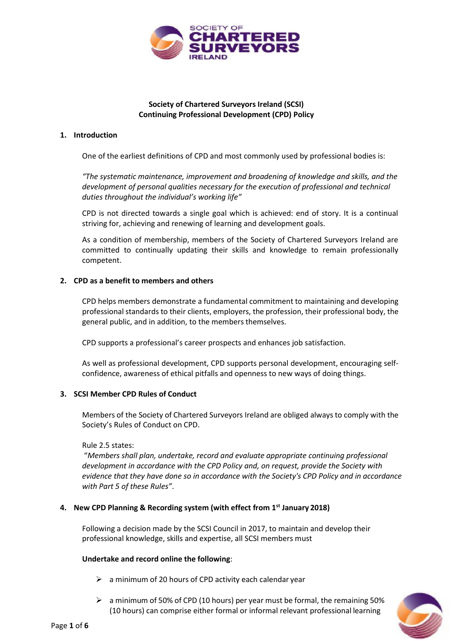

# **Society of Chartered Surveyors Ireland (SCSI) Continuing Professional Development (CPD) Policy**

### **1. Introduction**

One of the earliest definitions of CPD and most commonly used by professional bodies is:

*"The systematic maintenance, improvement and broadening of knowledge and skills, and the development of personal qualities necessary for the execution of professional and technical duties throughout the individual's working life"*

CPD is not directed towards a single goal which is achieved: end of story. It is a continual striving for, achieving and renewing of learning and development goals.

As a condition of membership, members of the Society of Chartered Surveyors Ireland are committed to continually updating their skills and knowledge to remain professionally competent.

### **2. CPD as a benefit to members and others**

CPD helps members demonstrate a fundamental commitment to maintaining and developing professional standards to their clients, employers, the profession, their professional body, the general public, and in addition, to the members themselves.

CPD supports a professional's career prospects and enhances job satisfaction.

As well as professional development, CPD supports personal development, encouraging selfconfidence, awareness of ethical pitfalls and openness to new ways of doing things.

## **3. SCSI Member CPD Rules of Conduct**

Members of the Society of Chartered Surveyors Ireland are obliged always to comply with the Society's Rules of Conduct on CPD.

#### Rule 2.5 states:

"*Members shall plan, undertake, record and evaluate appropriate continuing professional development in accordance with the CPD Policy and, on request, provide the Society with evidence that they have done so in accordance with the Society's CPD Policy and in accordance with Part 5 of these Rules"*.

## **4. New CPD Planning & Recording system (with effect from 1st January 2018)**

Following a decision made by the SCSI Council in 2017, to maintain and develop their professional knowledge, skills and expertise, all SCSI members must

## **Undertake and record online the following**:

- $\triangleright$  a minimum of 20 hours of CPD activity each calendar year
- $\triangleright$  a minimum of 50% of CPD (10 hours) per year must be formal, the remaining 50% (10 hours) can comprise either formal or informal relevant professional learning

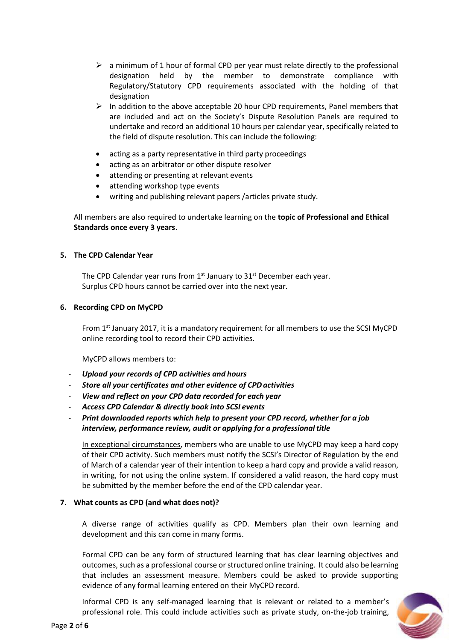- $\triangleright$  a minimum of 1 hour of formal CPD per year must relate directly to the professional designation held by the member to demonstrate compliance with Regulatory/Statutory CPD requirements associated with the holding of that designation
- $\triangleright$  In addition to the above acceptable 20 hour CPD requirements, Panel members that are included and act on the Society's Dispute Resolution Panels are required to undertake and record an additional 10 hours per calendar year, specifically related to the field of dispute resolution. This can include the following:
- acting as a party representative in third party proceedings
- acting as an arbitrator or other dispute resolver
- attending or presenting at relevant events
- attending workshop type events
- writing and publishing relevant papers /articles private study.

All members are also required to undertake learning on the **topic of Professional and Ethical Standards once every 3 years**.

## **5. The CPD Calendar Year**

The CPD Calendar year runs from  $1<sup>st</sup>$  January to  $31<sup>st</sup>$  December each year. Surplus CPD hours cannot be carried over into the next year.

## **6. Recording CPD on MyCPD**

From 1<sup>st</sup> January 2017, it is a mandatory requirement for all members to use the SCSI MyCPD online recording tool to record their CPD activities.

MyCPD allows members to:

- *Upload your records of CPD activities and hours*
- *Store all your certificates and other evidence of CPDactivities*
- *View and reflect on your CPD data recorded for each year*
- *Access CPD Calendar & directly book into SCSI events*
- *Print downloaded reports which help to present your CPD record, whether for a job interview, performance review, audit or applying for a professional title*

In exceptional circumstances, members who are unable to use MyCPD may keep a hard copy of their CPD activity. Such members must notify the SCSI's Director of Regulation by the end of March of a calendar year of their intention to keep a hard copy and provide a valid reason, in writing, for not using the online system. If considered a valid reason, the hard copy must be submitted by the member before the end of the CPD calendar year.

## **7. What counts as CPD (and what does not)?**

A diverse range of activities qualify as CPD. Members plan their own learning and development and this can come in many forms.

Formal CPD can be any form of structured learning that has clear learning objectives and outcomes, such as a professional course or structured online training. It could also be learning that includes an assessment measure. Members could be asked to provide supporting evidence of any formal learning entered on their MyCPD record.

Informal CPD is any self-managed learning that is relevant or related to a member's professional role. This could include activities such as private study, on-the-job training,

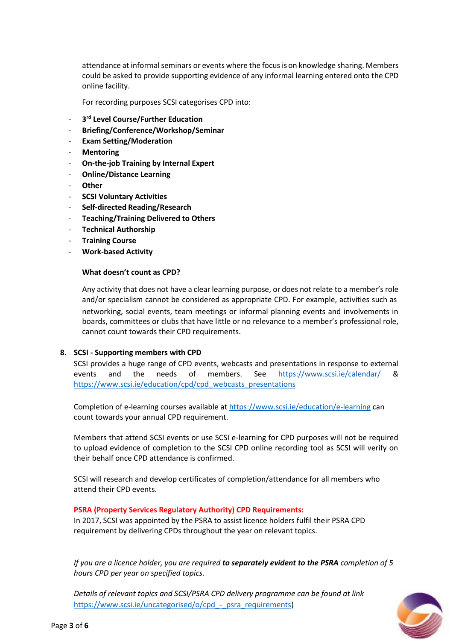attendance at informal seminars or events where the focus is on knowledge sharing. Members could be asked to provide supporting evidence of any informal learning entered onto the CPD online facility.

For recording purposes SCSI categorises CPD into:

- **3 rd Level Course/Further Education**
- **Briefing/Conference/Workshop/Seminar**
- **Exam Setting/Moderation**
- **Mentoring**
- **On-the-job Training by Internal Expert**
- **Online/Distance Learning**
- **Other**
- **SCSI Voluntary Activities**
- **Self-directed Reading/Research**
- **Teaching/Training Delivered to Others**
- **Technical Authorship**
- **Training Course**
- **Work-based Activity**

#### **What doesn't count as CPD?**

Any activity that does not have a clear learning purpose, or does not relate to a member's role and/or specialism cannot be considered as appropriate CPD. For example, activities such as networking, social events, team meetings or informal planning events and involvements in boards, committees or clubs that have little or no relevance to a member's professional role, cannot count towards their CPD requirements.

#### **8. SCSI - Supporting members with CPD**

SCSI provides a huge range of CPD events, webcasts and presentations in response to external events and the needs of members. See <https://www.scsi.ie/calendar/> & [https://www.scsi.ie/education/cpd/cpd\\_webcasts\\_presentations](https://www.scsi.ie/education/cpd/cpd_webcasts_presentations)

Completion of e-learning courses available at<https://www.scsi.ie/education/e-learning> can count towards your annual CPD requirement.

Members that attend SCSI events or use SCSI e-learning for CPD purposes will not be required to upload evidence of completion to the SCSI CPD online recording tool as SCSI will verify on their behalf once CPD attendance is confirmed.

SCSI will research and develop certificates of completion/attendance for all members who attend their CPD events.

#### **PSRA (Property Services Regulatory Authority) CPD Requirements:**

In 2017, SCSI was appointed by the PSRA to assist licence holders fulfil their PSRA CPD requirement by delivering CPDs throughout the year on relevant topics.

*If you are a licence holder, you are required to separately evident to the PSRA completion of 5 hours CPD per year on specified topics.*

*Details of relevant topics and SCSI/PSRA CPD delivery programme can be found at link* [https://www.scsi.ie/uncategorised/o/cpd\\_-\\_psra\\_requirements\)](https://www.scsi.ie/uncategorised/o/cpd_-_psra_requirements)

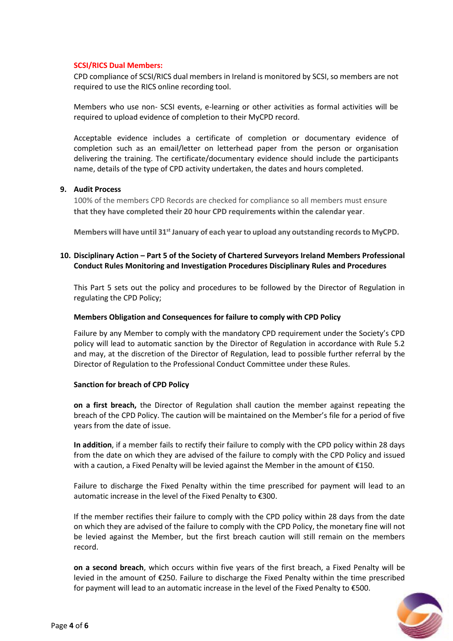## **SCSI/RICS Dual Members:**

CPD compliance of SCSI/RICS dual members in Ireland is monitored by SCSI, so members are not required to use the RICS online recording tool.

Members who use non- SCSI events, e-learning or other activities as formal activities will be required to upload evidence of completion to their MyCPD record.

Acceptable evidence includes a certificate of completion or documentary evidence of completion such as an email/letter on letterhead paper from the person or organisation delivering the training. The certificate/documentary evidence should include the participants name, details of the type of CPD activity undertaken, the dates and hours completed.

### **9. Audit Process**

100% of the members CPD Records are checked for compliance so all members must ensure **that they have completed their 20 hour CPD requirements within the calendar year**.

**Members will have until 31st January of each year to upload any outstanding recordsto MyCPD.**

## **10. Disciplinary Action – Part 5 of the Society of Chartered Surveyors Ireland Members Professional Conduct Rules Monitoring and Investigation Procedures Disciplinary Rules and Procedures**

This Part 5 sets out the policy and procedures to be followed by the Director of Regulation in regulating the CPD Policy;

### **Members Obligation and Consequences for failure to comply with CPD Policy**

Failure by any Member to comply with the mandatory CPD requirement under the Society's CPD policy will lead to automatic sanction by the Director of Regulation in accordance with Rule 5.2 and may, at the discretion of the Director of Regulation, lead to possible further referral by the Director of Regulation to the Professional Conduct Committee under these Rules.

## **Sanction for breach of CPD Policy**

**on a first breach,** the Director of Regulation shall caution the member against repeating the breach of the CPD Policy. The caution will be maintained on the Member's file for a period of five years from the date of issue.

**In addition**, if a member fails to rectify their failure to comply with the CPD policy within 28 days from the date on which they are advised of the failure to comply with the CPD Policy and issued with a caution, a Fixed Penalty will be levied against the Member in the amount of  $E$ 150.

Failure to discharge the Fixed Penalty within the time prescribed for payment will lead to an automatic increase in the level of the Fixed Penalty to €300.

If the member rectifies their failure to comply with the CPD policy within 28 days from the date on which they are advised of the failure to comply with the CPD Policy, the monetary fine will not be levied against the Member, but the first breach caution will still remain on the members record.

**on a second breach**, which occurs within five years of the first breach, a Fixed Penalty will be levied in the amount of €250. Failure to discharge the Fixed Penalty within the time prescribed for payment will lead to an automatic increase in the level of the Fixed Penalty to €500.

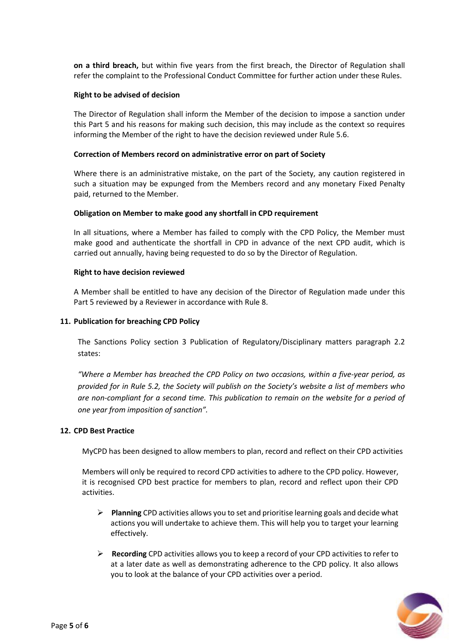**on a third breach,** but within five years from the first breach, the Director of Regulation shall refer the complaint to the Professional Conduct Committee for further action under these Rules.

#### **Right to be advised of decision**

The Director of Regulation shall inform the Member of the decision to impose a sanction under this Part 5 and his reasons for making such decision, this may include as the context so requires informing the Member of the right to have the decision reviewed under Rule 5.6.

#### **Correction of Members record on administrative error on part of Society**

Where there is an administrative mistake, on the part of the Society, any caution registered in such a situation may be expunged from the Members record and any monetary Fixed Penalty paid, returned to the Member.

#### **Obligation on Member to make good any shortfall in CPD requirement**

In all situations, where a Member has failed to comply with the CPD Policy, the Member must make good and authenticate the shortfall in CPD in advance of the next CPD audit, which is carried out annually, having being requested to do so by the Director of Regulation.

#### **Right to have decision reviewed**

A Member shall be entitled to have any decision of the Director of Regulation made under this Part 5 reviewed by a Reviewer in accordance with Rule 8.

### **11. Publication for breaching CPD Policy**

The Sanctions Policy section 3 Publication of Regulatory/Disciplinary matters paragraph 2.2 states:

*"Where a Member has breached the CPD Policy on two occasions, within a five-year period, as provided for in Rule 5.2, the Society will publish on the Society's website a list of members who are non-compliant for a second time. This publication to remain on the website for a period of one year from imposition of sanction".*

### **12. CPD Best Practice**

MyCPD has been designed to allow members to plan, record and reflect on their CPD activities

Members will only be required to record CPD activities to adhere to the CPD policy. However, it is recognised CPD best practice for members to plan, record and reflect upon their CPD activities.

- ➢ **Planning** CPD activities allows you to set and prioritise learning goals and decide what actions you will undertake to achieve them. This will help you to target your learning effectively.
- ➢ **Recording** CPD activities allows you to keep a record of your CPD activities to refer to at a later date as well as demonstrating adherence to the CPD policy. It also allows you to look at the balance of your CPD activities over a period.